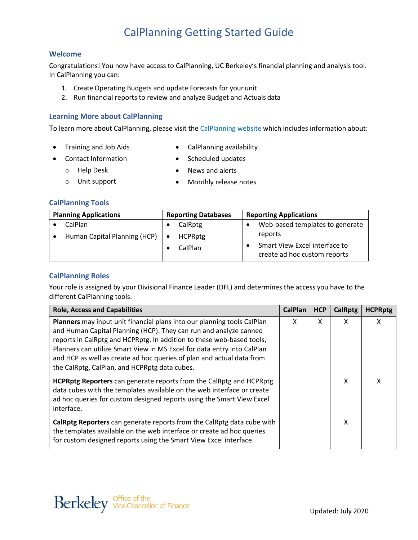# **Welcome**

Congratulations! You now have access to CalPlanning, UC Berkeley's financial planning and analysis tool. In CalPlanning you can:

- 1. Create Operating Budgets and update Forecasts for your unit
- 2. Run financial reports to review and analyze Budget and Actuals data

# **Learning More about CalPlanning**

To learn more about CalPlanning, please visit the [CalPlanning website w](https://calplanning.berkeley.edu/)hich includes information about:

- Training and Job Aids
- CalPlanning availability
- Contact Information
	- o Help Desk
- Scheduled updates • News and alerts
- o Unit support
- Monthly release notes

### **CalPlanning Tools**

| <b>Planning Applications</b> |                              | <b>Reporting Databases</b> |                | <b>Reporting Applications</b> |                                                               |  |
|------------------------------|------------------------------|----------------------------|----------------|-------------------------------|---------------------------------------------------------------|--|
|                              | CalPlan                      |                            | CalRptg        |                               | Web-based templates to generate                               |  |
|                              | Human Capital Planning (HCP) |                            | <b>HCPRptg</b> |                               | reports                                                       |  |
|                              |                              |                            | CalPlan        |                               | Smart View Excel interface to<br>create ad hoc custom reports |  |

# **CalPlanning Roles**

Your role is assigned by your Divisional Finance Leader (DFL) and determines the access you have to the different CalPlanning tools.

| <b>Role, Access and Capabilities</b>                                                                                                                                                                                                                                                                                                                                                                                       | <b>CalPlan</b> | <b>HCP</b> | <b>CalRptg</b> | <b>HCPRptg</b> |
|----------------------------------------------------------------------------------------------------------------------------------------------------------------------------------------------------------------------------------------------------------------------------------------------------------------------------------------------------------------------------------------------------------------------------|----------------|------------|----------------|----------------|
| Planners may input unit financial plans into our planning tools CalPlan<br>and Human Capital Planning (HCP). They can run and analyze canned<br>reports in CalRptg and HCPRptg. In addition to these web-based tools,<br>Planners can utilize Smart View in MS Excel for data entry into CalPlan<br>and HCP as well as create ad hoc queries of plan and actual data from<br>the CalRptg, CalPlan, and HCPRptg data cubes. | x              | X          | X              | x              |
| <b>HCPRptg Reporters</b> can generate reports from the CalRptg and HCPRptg<br>data cubes with the templates available on the web interface or create<br>ad hoc queries for custom designed reports using the Smart View Excel<br>interface.                                                                                                                                                                                |                |            | X              | x              |
| CalRptg Reporters can generate reports from the CalRptg data cube with<br>the templates available on the web interface or create ad hoc queries<br>for custom designed reports using the Smart View Excel interface.                                                                                                                                                                                                       |                |            | X              |                |

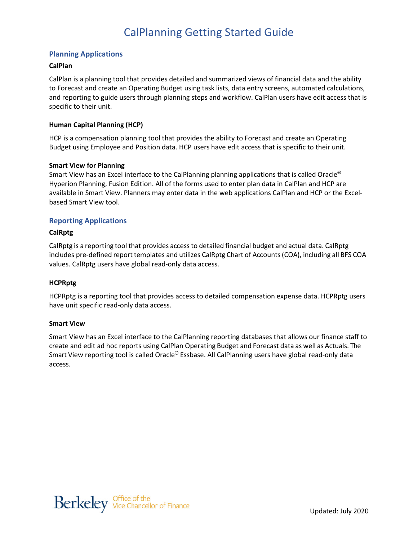# **Planning Applications**

#### **CalPlan**

CalPlan is a planning tool that provides detailed and summarized views of financial data and the ability to Forecast and create an Operating Budget using task lists, data entry screens, automated calculations, and reporting to guide users through planning steps and workflow. CalPlan users have edit access that is specific to their unit.

#### **Human Capital Planning (HCP)**

HCP is a compensation planning tool that provides the ability to Forecast and create an Operating Budget using Employee and Position data. HCP users have edit access that is specific to their unit.

#### **Smart View for Planning**

Smart View has an Excel interface to the CalPlanning planning applications that is called Oracle<sup>®</sup> Hyperion Planning, Fusion Edition. All of the forms used to enter plan data in CalPlan and HCP are available in Smart View. Planners may enter data in the web applications CalPlan and HCP or the Excelbased Smart View tool.

### **Reporting Applications**

### **CalRptg**

CalRptg is a reporting tool that provides access to detailed financial budget and actual data. CalRptg includes pre-defined report templates and utilizes CalRptg Chart of Accounts(COA), including all BFS COA values. CalRptg users have global read-only data access.

### **HCPRptg**

HCPRptg is a reporting tool that provides access to detailed compensation expense data. HCPRptg users have unit specific read-only data access.

#### **Smart View**

Smart View has an Excel interface to the CalPlanning reporting databases that allows our finance staff to create and edit ad hoc reports using CalPlan Operating Budget and Forecast data as well as Actuals. The Smart View reporting tool is called Oracle<sup>®</sup> Essbase. All CalPlanning users have global read-only data access.

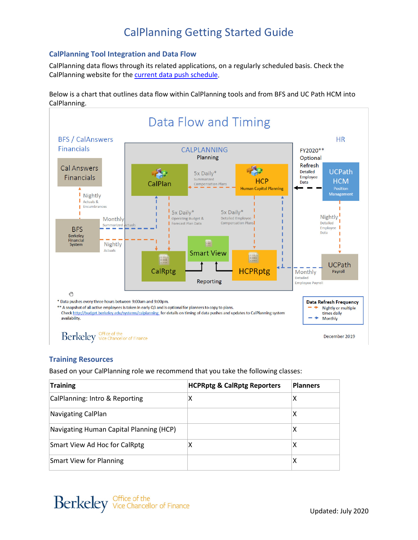# **CalPlanning Tool Integration and Data Flow**

CalPlanning data flows through its related applications, on a regularly scheduled basis. Check the CalPlanning website for the [current data push schedule.](http://budget.berkeley.edu/systems/calplanning)

Below is a chart that outlines data flow within CalPlanning tools and from BFS and UC Path HCM into CalPlanning.



# **Training Resources**

Based on your CalPlanning role we recommend that you take the following classes:

| <b>Training</b>                         | <b>HCPRptg &amp; CalRptg Reporters</b> | <b>Planners</b> |
|-----------------------------------------|----------------------------------------|-----------------|
| CalPlanning: Intro & Reporting          | X                                      | Χ               |
| Navigating CalPlan                      |                                        | х               |
| Navigating Human Capital Planning (HCP) |                                        | х               |
| Smart View Ad Hoc for CalRptg           | Χ                                      | х               |
| Smart View for Planning                 |                                        | х               |

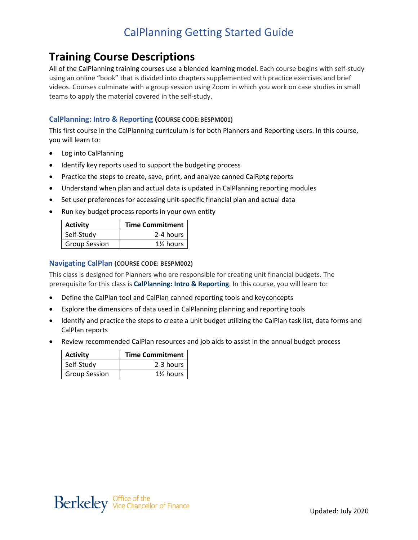# **Training Course Descriptions**

All of the CalPlanning training courses use a blended learning model. Each course begins with self-study using an online "book" that is divided into chapters supplemented with practice exercises and brief videos. Courses culminate with a group session using Zoom in which you work on case studies in small teams to apply the material covered in the self-study.

# **CalPlanning: Intro & Reporting (COURSE CODE:BESPM001)**

This first course in the CalPlanning curriculum is for both Planners and Reporting users. In this course, you will learn to:

- Log into CalPlanning
- Identify key reports used to support the budgeting process
- Practice the steps to create, save, print, and analyze canned CalRptg reports
- Understand when plan and actual data is updated in CalPlanning reporting modules
- Set user preferences for accessing unit-specific financial plan and actual data
- Run key budget process reports in your own entity

| <b>Activity</b>      | Time Commitment      |
|----------------------|----------------------|
| Self-Study           | 2-4 hours            |
| <b>Group Session</b> | $1\frac{1}{2}$ hours |

#### **Navigating CalPlan (COURSE CODE: BESPM002)**

This class is designed for Planners who are responsible for creating unit financial budgets. The prerequisite for this class is **CalPlanning: Intro & Reporting**. In this course, you will learn to:

- Define the CalPlan tool and CalPlan canned reporting tools and keyconcepts
- Explore the dimensions of data used in CalPlanning planning and reporting tools
- Identify and practice the steps to create a unit budget utilizing the CalPlan task list, data forms and CalPlan reports
- Review recommended CalPlan resources and job aids to assist in the annual budget process

| <b>Activity</b>      | <b>Time Commitment</b>              |
|----------------------|-------------------------------------|
| Self-Study           | 2-3 hours                           |
| <b>Group Session</b> | 1 <sup>1</sup> / <sub>2</sub> hours |

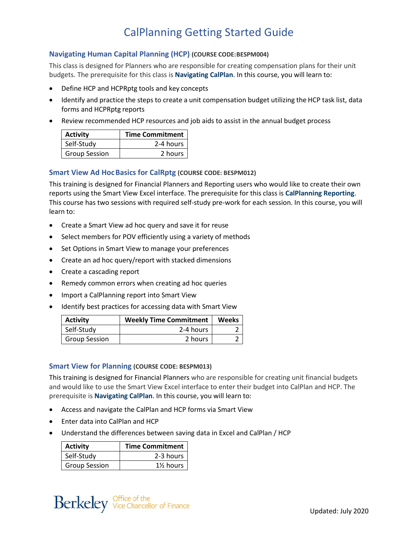# **Navigating Human Capital Planning (HCP) (COURSE CODE:BESPM004)**

This class is designed for Planners who are responsible for creating compensation plans for their unit budgets. The prerequisite for this class is **Navigating CalPlan**. In this course, you will learn to:

- Define HCP and HCPRptg tools and key concepts
- Identify and practice the steps to create a unit compensation budget utilizing the HCP task list, data forms and HCPRptg reports
- Review recommended HCP resources and job aids to assist in the annual budget process

| <b>Activity</b>      | <b>Time Commitment</b> |
|----------------------|------------------------|
| Self-Study           | 2-4 hours              |
| <b>Group Session</b> | 2 hours                |

### **Smart View Ad HocBasics for CalRptg (COURSE CODE: BESPM012)**

This training is designed for Financial Planners and Reporting users who would like to create their own reports using the Smart View Excel interface. The prerequisite for this class is **CalPlanning Reporting**. This course has two sessions with required self-study pre-work for each session. In this course, you will learn to:

- Create a Smart View ad hoc query and save it for reuse
- Select members for POV efficiently using a variety of methods
- Set Options in Smart View to manage your preferences
- Create an ad hoc query/report with stacked dimensions
- Create a cascading report
- Remedy common errors when creating ad hoc queries
- Import a CalPlanning report into Smart View
- Identify best practices for accessing data with Smart View

| <b>Activity</b>      | <b>Weekly Time Commitment</b> | <b>Weeks</b> |
|----------------------|-------------------------------|--------------|
| Self-Study           | 2-4 hours                     |              |
| <b>Group Session</b> | 2 hours                       |              |

#### **Smart View for Planning (COURSE CODE: BESPM013)**

This training is designed for Financial Planners who are responsible for creating unit financial budgets and would like to use the Smart View Excel interface to enter their budget into CalPlan and HCP. The prerequisite is **Navigating CalPlan**. In this course, you will learn to:

- Access and navigate the CalPlan and HCP forms via Smart View
- Enter data into CalPlan and HCP
- Understand the differences between saving data in Excel and CalPlan / HCP

| <b>Activity</b>      | Time Commitment |
|----------------------|-----------------|
| Self-Study           | 2-3 hours       |
| <b>Group Session</b> | 1½ hours        |